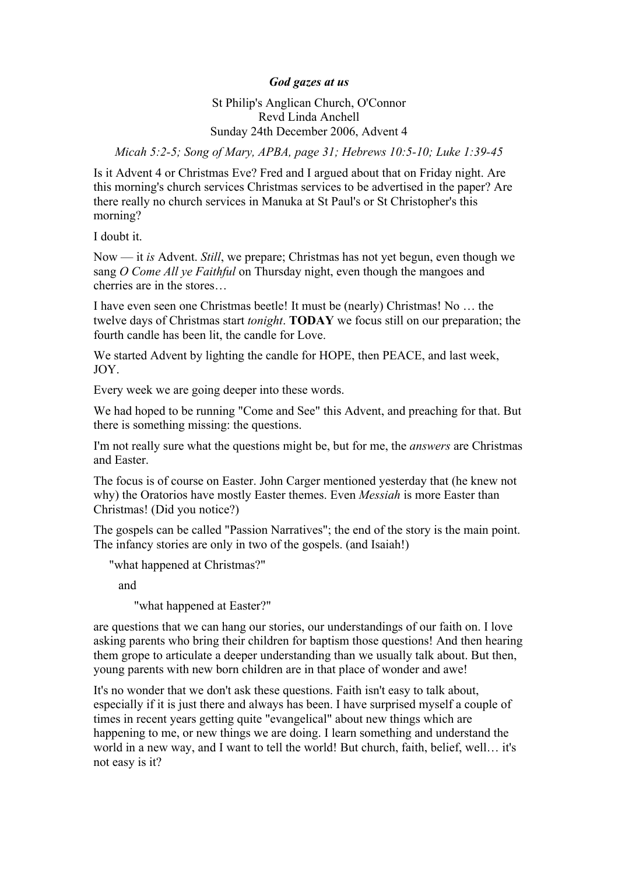## *God gazes at us*

## St Philip's Anglican Church, O'Connor Revd Linda Anchell Sunday 24th December 2006, Advent 4

*Micah 5:2-5; Song of Mary, APBA, page 31; Hebrews 10:5-10; Luke 1:39-45*

Is it Advent 4 or Christmas Eve? Fred and I argued about that on Friday night. Are this morning's church services Christmas services to be advertised in the paper? Are there really no church services in Manuka at St Paul's or St Christopher's this morning?

I doubt it.

Now — it *is* Advent. *Still*, we prepare; Christmas has not yet begun, even though we sang *O Come All ye Faithful* on Thursday night, even though the mangoes and cherries are in the stores…

I have even seen one Christmas beetle! It must be (nearly) Christmas! No … the twelve days of Christmas start *tonight*. **TODAY** we focus still on our preparation; the fourth candle has been lit, the candle for Love.

We started Advent by lighting the candle for HOPE, then PEACE, and last week, JOY.

Every week we are going deeper into these words.

We had hoped to be running "Come and See" this Advent, and preaching for that. But there is something missing: the questions.

I'm not really sure what the questions might be, but for me, the *answers* are Christmas and Easter.

The focus is of course on Easter. John Carger mentioned yesterday that (he knew not why) the Oratorios have mostly Easter themes. Even *Messiah* is more Easter than Christmas! (Did you notice?)

The gospels can be called "Passion Narratives"; the end of the story is the main point. The infancy stories are only in two of the gospels. (and Isaiah!)

"what happened at Christmas?"

and

"what happened at Easter?"

are questions that we can hang our stories, our understandings of our faith on. I love asking parents who bring their children for baptism those questions! And then hearing them grope to articulate a deeper understanding than we usually talk about. But then, young parents with new born children are in that place of wonder and awe!

It's no wonder that we don't ask these questions. Faith isn't easy to talk about, especially if it is just there and always has been. I have surprised myself a couple of times in recent years getting quite "evangelical" about new things which are happening to me, or new things we are doing. I learn something and understand the world in a new way, and I want to tell the world! But church, faith, belief, well… it's not easy is it?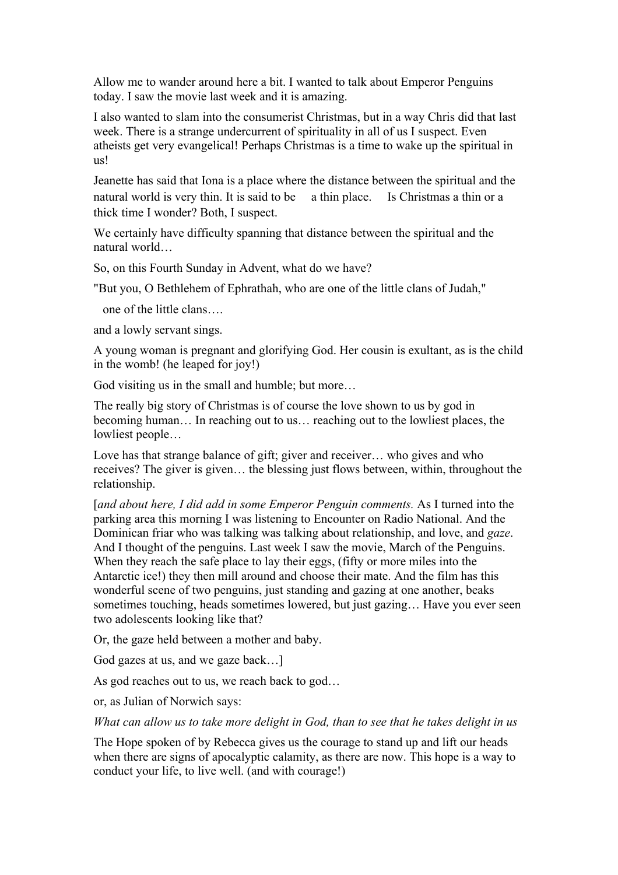Allow me to wander around here a bit. I wanted to talk about Emperor Penguins today. I saw the movie last week and it is amazing.

I also wanted to slam into the consumerist Christmas, but in a way Chris did that last week. There is a strange undercurrent of spirituality in all of us I suspect. Even atheists get very evangelical! Perhaps Christmas is a time to wake up the spiritual in us!

Jeanette has said that Iona is a place where the distance between the spiritual and the natural world is very thin. It is said to be a thin place. Is Christmas a thin or a thick time I wonder? Both, I suspect.

We certainly have difficulty spanning that distance between the spiritual and the natural world…

So, on this Fourth Sunday in Advent, what do we have?

"But you, O Bethlehem of Ephrathah, who are one of the little clans of Judah,"

one of the little clans….

and a lowly servant sings.

A young woman is pregnant and glorifying God. Her cousin is exultant, as is the child in the womb! (he leaped for joy!)

God visiting us in the small and humble; but more…

The really big story of Christmas is of course the love shown to us by god in becoming human… In reaching out to us… reaching out to the lowliest places, the lowliest people…

Love has that strange balance of gift; giver and receiver... who gives and who receives? The giver is given… the blessing just flows between, within, throughout the relationship.

[*and about here, I did add in some Emperor Penguin comments.* As I turned into the parking area this morning I was listening to Encounter on Radio National. And the Dominican friar who was talking was talking about relationship, and love, and *gaze*. And I thought of the penguins. Last week I saw the movie, March of the Penguins. When they reach the safe place to lay their eggs, (fifty or more miles into the Antarctic ice!) they then mill around and choose their mate. And the film has this wonderful scene of two penguins, just standing and gazing at one another, beaks sometimes touching, heads sometimes lowered, but just gazing… Have you ever seen two adolescents looking like that?

Or, the gaze held between a mother and baby.

God gazes at us, and we gaze back…]

As god reaches out to us, we reach back to god…

or, as Julian of Norwich says:

*What can allow us to take more delight in God, than to see that he takes delight in us* 

The Hope spoken of by Rebecca gives us the courage to stand up and lift our heads when there are signs of apocalyptic calamity, as there are now. This hope is a way to conduct your life, to live well. (and with courage!)